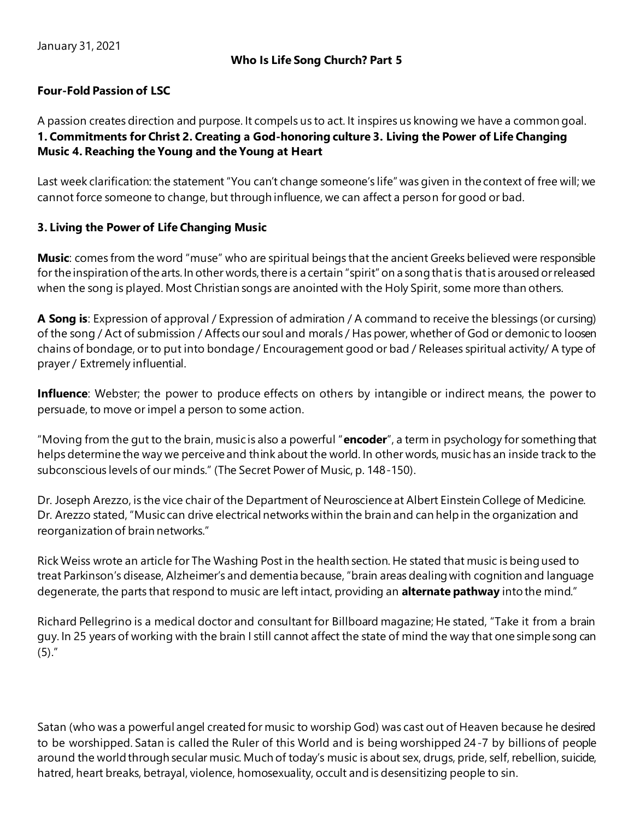## **Four-Fold Passion of LSC**

A passion creates direction and purpose. It compels us to act. It inspires us knowing we have a common goal. **1. Commitments for Christ 2. Creating a God-honoring culture 3. Living the Power of Life Changing Music 4. Reaching the Young and the Young at Heart**

Last week clarification: the statement "You can't change someone's life" was given in the context of free will; we cannot force someone to change, but through influence, we can affect a person for good or bad.

## **3. Living the Power of Life Changing Music**

**Music**: comes from the word "muse" who are spiritual beings that the ancient Greeks believed were responsible for the inspiration of the arts. In other words, there is a certain "spirit" on a song that is that is aroused or released when the song is played. Most Christian songs are anointed with the Holy Spirit, some more than others.

**A Song is**: Expression of approval / Expression of admiration / A command to receive the blessings (or cursing) of the song / Act of submission / Affects our soul and morals / Has power, whether of God or demonic to loosen chains of bondage, or to put into bondage / Encouragement good or bad / Releases spiritual activity/ A type of prayer / Extremely influential.

**Influence**: Webster; the power to produce effects on others by intangible or indirect means, the power to persuade, to move or impel a person to some action.

"Moving from the gut to the brain, music is also a powerful "**encoder**", a term in psychology for something that helps determine the way we perceive and think about the world. In other words, music has an inside track to the subconscious levels of our minds." (The Secret Power of Music, p. 148-150).

Dr. Joseph Arezzo, is the vice chair of the Department of Neuroscience at Albert Einstein College of Medicine. Dr. Arezzo stated, "Music can drive electrical networks within the brain and can help in the organization and reorganization of brain networks."

Rick Weiss wrote an article for The Washing Post in the health section. He stated that music is being used to treat Parkinson's disease, Alzheimer's and dementia because, "brain areas dealing with cognition and language degenerate, the parts that respond to music are left intact, providing an **alternate pathway** into the mind."

Richard Pellegrino is a medical doctor and consultant for Billboard magazine; He stated, "Take it from a brain guy. In 25 years of working with the brain I still cannot affect the state of mind the way that one simple song can (5)."

Satan (who was a powerful angel created for music to worship God) was cast out of Heaven because he desired to be worshipped. Satan is called the Ruler of this World and is being worshipped 24-7 by billions of people around the world through secular music. Much of today's music is about sex, drugs, pride, self, rebellion, suicide, hatred, heart breaks, betrayal, violence, homosexuality, occult and is desensitizing people to sin.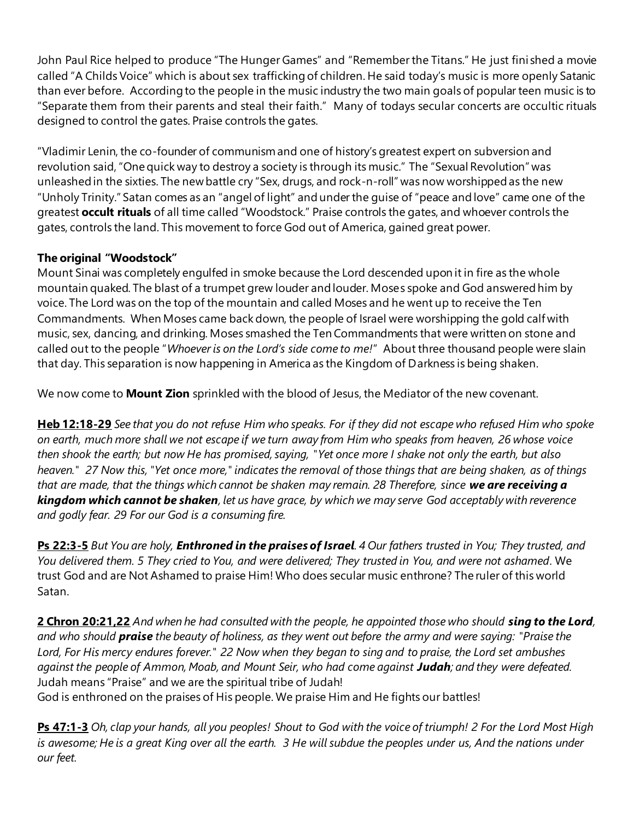John Paul Rice helped to produce "The Hunger Games" and "Remember the Titans." He just fini shed a movie called "A Childs Voice" which is about sex trafficking of children. He said today's music is more openly Satanic than ever before. According to the people in the music industry the two main goals of popular teen music is to "Separate them from their parents and steal their faith." Many of todays secular concerts are occultic rituals designed to control the gates. Praise controls the gates.

"Vladimir Lenin, the co-founder of communism and one of history's greatest expert on subversion and revolution said, "One quick way to destroy a society is through its music." The "Sexual Revolution" was unleashed in the sixties. The new battle cry "Sex, drugs, and rock-n-roll" was now worshipped as the new "Unholy Trinity." Satan comes as an "angel of light" and under the guise of "peace and love" came one of the greatest **occult rituals** of all time called "Woodstock." Praise controls the gates, and whoever controls the gates, controls the land. This movement to force God out of America, gained great power.

## **The original "Woodstock"**

Mount Sinai was completely engulfed in smoke because the Lord descended upon it in fire as the whole mountain quaked. The blast of a trumpet grew louder and louder. Moses spoke and God answered him by voice. The Lord was on the top of the mountain and called Moses and he went up to receive the Ten Commandments. When Moses came back down, the people of Israel were worshipping the gold calf with music, sex, dancing, and drinking. Moses smashed the Ten Commandments that were written on stone and called out to the people "*Whoever is on the Lord's side come to me!*" About three thousand people were slain that day. This separation is now happening in America as the Kingdom of Darkness is being shaken.

We now come to **Mount Zion** sprinkled with the blood of Jesus, the Mediator of the new covenant.

**Heb 12:18-29** *See that you do not refuse Him who speaks. For if they did not escape who refused Him who spoke on earth, much more shall we not escape if we turn away from Him who speaks from heaven, 26 whose voice then shook the earth; but now He has promised, saying, "Yet once more I shake not only the earth, but also heaven." 27 Now this, "Yet once more," indicates the removal of those things that are being shaken, as of things that are made, that the things which cannot be shaken may remain. 28 Therefore, since we are receiving a kingdom which cannot be shaken, let us have grace, by which we may serve God acceptably with reverence and godly fear. 29 For our God is a consuming fire.* 

**Ps 22:3-5** *But You are holy, Enthroned in the praises of Israel. 4 Our fathers trusted in You; They trusted, and You delivered them. 5 They cried to You, and were delivered; They trusted in You, and were not ashamed*. We trust God and are Not Ashamed to praise Him! Who does secular music enthrone? The ruler of this world Satan.

**2 Chron 20:21,22** *And when he had consulted with the people, he appointed those who should sing to the Lord, and who should praise the beauty of holiness, as they went out before the army and were saying: "Praise the Lord, For His mercy endures forever." 22 Now when they began to sing and to praise, the Lord set ambushes against the people of Ammon, Moab, and Mount Seir, who had come against Judah; and they were defeated.*  Judah means "Praise" and we are the spiritual tribe of Judah!

God is enthroned on the praises of His people. We praise Him and He fights our battles!

**Ps 47:1-3** *Oh, clap your hands, all you peoples! Shout to God with the voice of triumph! 2 For the Lord Most High is awesome; He is a great King over all the earth. 3 He will subdue the peoples under us, And the nations under our feet.*